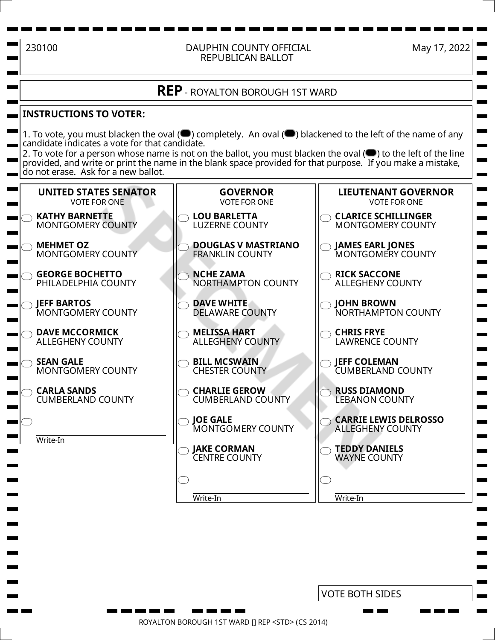## 230100 DAUPHIN COUNTY OFFICIAL REPUBLICAN BALLOT

May 17, 2022

## **REP**- ROYALTON BOROUGH 1ST WARD

## **INSTRUCTIONS TO VOTER:**

1. To vote, you must blacken the oval ( $\bullet$ ) completely. An oval ( $\bullet$ ) blackened to the left of the name of any candidate indicates a vote for that candidate.

2. To vote for a person whose name is not on the ballot, you must blacken the oval  $($ , to the left of the line provided, and write or print the name in the blank space provided for that purpose. If you make a mistake, do not erase. Ask for a new ballot.